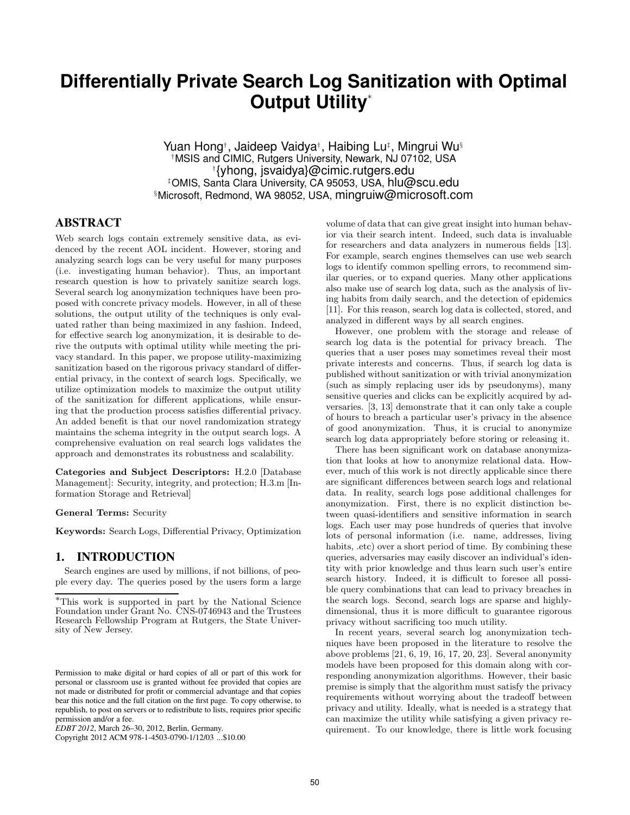# **Differentially Private Search Log Sanitization with Optimal Output Utility**<sup>∗</sup>

Yuan Hong† , Jaideep Vaidya† , Haibing Lu‡ , Mingrui Wu§ †MSIS and CIMIC, Rutgers University, Newark, NJ 07102, USA † {yhong, jsvaidya}@cimic.rutgers.edu ‡OMIS, Santa Clara University, CA 95053, USA, hlu@scu.edu §Microsoft, Redmond, WA 98052, USA, mingruiw@microsoft.com

# **ABSTRACT**

Web search logs contain extremely sensitive data, as evidenced by the recent AOL incident. However, storing and analyzing search logs can be very useful for many purposes (i.e. investigating human behavior). Thus, an important research question is how to privately sanitize search logs. Several search log anonymization techniques have been proposed with concrete privacy models. However, in all of these solutions, the output utility of the techniques is only evaluated rather than being maximized in any fashion. Indeed, for effective search log anonymization, it is desirable to derive the outputs with optimal utility while meeting the privacy standard. In this paper, we propose utility-maximizing sanitization based on the rigorous privacy standard of differential privacy, in the context of search logs. Specifically, we utilize optimization models to maximize the output utility of the sanitization for different applications, while ensuring that the production process satisfies differential privacy. An added benefit is that our novel randomization strategy maintains the schema integrity in the output search logs. A comprehensive evaluation on real search logs validates the approach and demonstrates its robustness and scalability.

Categories and Subject Descriptors: H.2.0 [Database Management]: Security, integrity, and protection; H.3.m [Information Storage and Retrieval]

#### General Terms: Security

Keywords: Search Logs, Differential Privacy, Optimization

### **1. INTRODUCTION**

Search engines are used by millions, if not billions, of people every day. The queries posed by the users form a large

Copyright 2012 ACM 978-1-4503-0790-1/12/03 ...\$10.00

volume of data that can give great insight into human behavior via their search intent. Indeed, such data is invaluable for researchers and data analyzers in numerous fields [13]. For example, search engines themselves can use web search logs to identify common spelling errors, to recommend similar queries, or to expand queries. Many other applications also make use of search log data, such as the analysis of living habits from daily search, and the detection of epidemics [11]. For this reason, search log data is collected, stored, and analyzed in different ways by all search engines.

However, one problem with the storage and release of search log data is the potential for privacy breach. The queries that a user poses may sometimes reveal their most private interests and concerns. Thus, if search log data is published without sanitization or with trivial anonymization (such as simply replacing user ids by pseudonyms), many sensitive queries and clicks can be explicitly acquired by adversaries. [3, 13] demonstrate that it can only take a couple of hours to breach a particular user's privacy in the absence of good anonymization. Thus, it is crucial to anonymize search log data appropriately before storing or releasing it.

There has been significant work on database anonymization that looks at how to anonymize relational data. However, much of this work is not directly applicable since there are significant differences between search logs and relational data. In reality, search logs pose additional challenges for anonymization. First, there is no explicit distinction between quasi-identifiers and sensitive information in search logs. Each user may pose hundreds of queries that involve lots of personal information (i.e. name, addresses, living habits,  $\cdot$ etc) over a short period of time. By combining these queries, adversaries may easily discover an individual's identity with prior knowledge and thus learn such user's entire search history. Indeed, it is difficult to foresee all possible query combinations that can lead to privacy breaches in the search logs. Second, search logs are sparse and highlydimensional, thus it is more difficult to guarantee rigorous privacy without sacrificing too much utility.

In recent years, several search log anonymization techniques have been proposed in the literature to resolve the above problems [21, 6, 19, 16, 17, 20, 23]. Several anonymity models have been proposed for this domain along with corresponding anonymization algorithms. However, their basic premise is simply that the algorithm must satisfy the privacy requirements without worrying about the tradeoff between privacy and utility. Ideally, what is needed is a strategy that can maximize the utility while satisfying a given privacy requirement. To our knowledge, there is little work focusing

<sup>∗</sup>This work is supported in part by the National Science Foundation under Grant No. CNS-0746943 and the Trustees Research Fellowship Program at Rutgers, the State University of New Jersey.

Permission to make digital or hard copies of all or part of this work for personal or classroom use is granted without fee provided that copies are not made or distributed for profit or commercial advantage and that copies bear this notice and the full citation on the first page. To copy otherwise, to republish, to post on servers or to redistribute to lists, requires prior specific permission and/or a fee.

*EDBT 2012*, March 26–30, 2012, Berlin, Germany.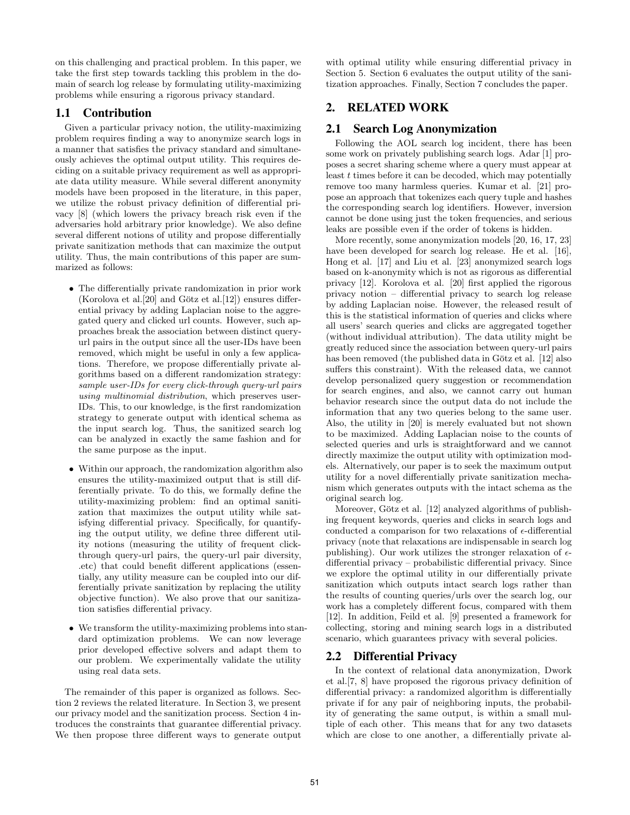on this challenging and practical problem. In this paper, we take the first step towards tackling this problem in the domain of search log release by formulating utility-maximizing problems while ensuring a rigorous privacy standard.

### **1.1 Contribution**

Given a particular privacy notion, the utility-maximizing problem requires finding a way to anonymize search logs in a manner that satisfies the privacy standard and simultaneously achieves the optimal output utility. This requires deciding on a suitable privacy requirement as well as appropriate data utility measure. While several different anonymity models have been proposed in the literature, in this paper, we utilize the robust privacy definition of differential privacy [8] (which lowers the privacy breach risk even if the adversaries hold arbitrary prior knowledge). We also define several different notions of utility and propose differentially private sanitization methods that can maximize the output utility. Thus, the main contributions of this paper are summarized as follows:

- The differentially private randomization in prior work (Korolova et al. $[20]$  and Götz et al. $[12]$ ) ensures differential privacy by adding Laplacian noise to the aggregated query and clicked url counts. However, such approaches break the association between distinct queryurl pairs in the output since all the user-IDs have been removed, which might be useful in only a few applications. Therefore, we propose differentially private algorithms based on a different randomization strategy: sample user-IDs for every click-through query-url pairs using multinomial distribution, which preserves user-IDs. This, to our knowledge, is the first randomization strategy to generate output with identical schema as the input search log. Thus, the sanitized search log can be analyzed in exactly the same fashion and for the same purpose as the input.
- Within our approach, the randomization algorithm also ensures the utility-maximized output that is still differentially private. To do this, we formally define the utility-maximizing problem: find an optimal sanitization that maximizes the output utility while satisfying differential privacy. Specifically, for quantifying the output utility, we define three different utility notions (measuring the utility of frequent clickthrough query-url pairs, the query-url pair diversity, .etc) that could benefit different applications (essentially, any utility measure can be coupled into our differentially private sanitization by replacing the utility objective function). We also prove that our sanitization satisfies differential privacy.
- We transform the utility-maximizing problems into standard optimization problems. We can now leverage prior developed effective solvers and adapt them to our problem. We experimentally validate the utility using real data sets.

The remainder of this paper is organized as follows. Section 2 reviews the related literature. In Section 3, we present our privacy model and the sanitization process. Section 4 introduces the constraints that guarantee differential privacy. We then propose three different ways to generate output with optimal utility while ensuring differential privacy in Section 5. Section 6 evaluates the output utility of the sanitization approaches. Finally, Section 7 concludes the paper.

# **2. RELATED WORK**

# **2.1 Search Log Anonymization**

Following the AOL search log incident, there has been some work on privately publishing search logs. Adar [1] proposes a secret sharing scheme where a query must appear at least  $t$  times before it can be decoded, which may potentially remove too many harmless queries. Kumar et al. [21] propose an approach that tokenizes each query tuple and hashes the corresponding search log identifiers. However, inversion cannot be done using just the token frequencies, and serious leaks are possible even if the order of tokens is hidden.

More recently, some anonymization models [20, 16, 17, 23] have been developed for search log release. He et al. [16], Hong et al. [17] and Liu et al. [23] anonymized search logs based on k-anonymity which is not as rigorous as differential privacy [12]. Korolova et al. [20] first applied the rigorous privacy notion – differential privacy to search log release by adding Laplacian noise. However, the released result of this is the statistical information of queries and clicks where all users' search queries and clicks are aggregated together (without individual attribution). The data utility might be greatly reduced since the association between query-url pairs has been removed (the published data in Götz et al. [12] also suffers this constraint). With the released data, we cannot develop personalized query suggestion or recommendation for search engines, and also, we cannot carry out human behavior research since the output data do not include the information that any two queries belong to the same user. Also, the utility in [20] is merely evaluated but not shown to be maximized. Adding Laplacian noise to the counts of selected queries and urls is straightforward and we cannot directly maximize the output utility with optimization models. Alternatively, our paper is to seek the maximum output utility for a novel differentially private sanitization mechanism which generates outputs with the intact schema as the original search log.

Moreover, Götz et al. [12] analyzed algorithms of publishing frequent keywords, queries and clicks in search logs and conducted a comparison for two relaxations of  $\epsilon$ -differential privacy (note that relaxations are indispensable in search log publishing). Our work utilizes the stronger relaxation of  $\epsilon$ differential privacy – probabilistic differential privacy. Since we explore the optimal utility in our differentially private sanitization which outputs intact search logs rather than the results of counting queries/urls over the search log, our work has a completely different focus, compared with them [12]. In addition, Feild et al. [9] presented a framework for collecting, storing and mining search logs in a distributed scenario, which guarantees privacy with several policies.

### **2.2 Differential Privacy**

In the context of relational data anonymization, Dwork et al.[7, 8] have proposed the rigorous privacy definition of differential privacy: a randomized algorithm is differentially private if for any pair of neighboring inputs, the probability of generating the same output, is within a small multiple of each other. This means that for any two datasets which are close to one another, a differentially private al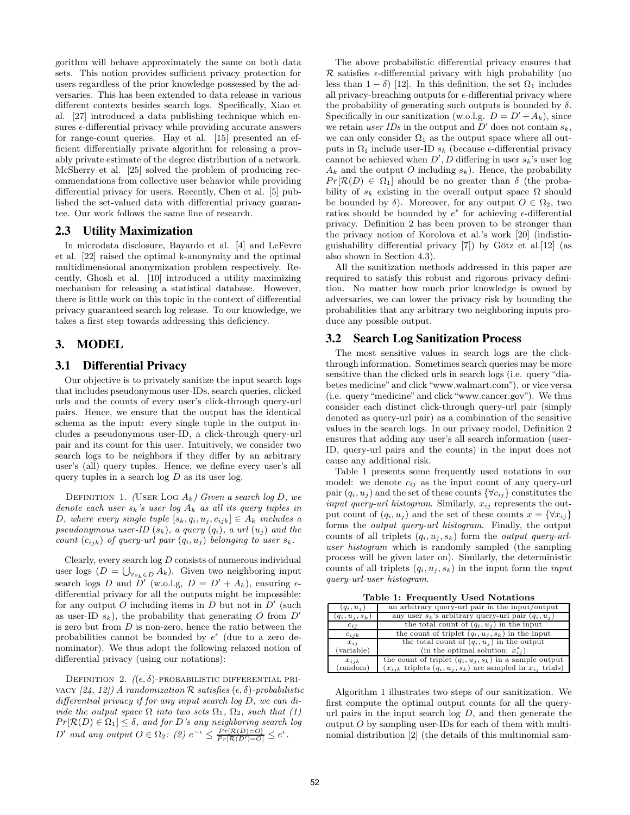gorithm will behave approximately the same on both data sets. This notion provides sufficient privacy protection for users regardless of the prior knowledge possessed by the adversaries. This has been extended to data release in various different contexts besides search logs. Specifically, Xiao et al. [27] introduced a data publishing technique which ensures  $\epsilon$ -differential privacy while providing accurate answers for range-count queries. Hay et al. [15] presented an efficient differentially private algorithm for releasing a provably private estimate of the degree distribution of a network. McSherry et al. [25] solved the problem of producing recommendations from collective user behavior while providing differential privacy for users. Recently, Chen et al. [5] published the set-valued data with differential privacy guarantee. Our work follows the same line of research.

### **2.3 Utility Maximization**

In microdata disclosure, Bayardo et al. [4] and LeFevre et al. [22] raised the optimal k-anonymity and the optimal multidimensional anonymization problem respectively. Recently, Ghosh et al. [10] introduced a utility maximizing mechanism for releasing a statistical database. However, there is little work on this topic in the context of differential privacy guaranteed search log release. To our knowledge, we takes a first step towards addressing this deficiency.

### **3. MODEL**

### **3.1 Differential Privacy**

Our objective is to privately sanitize the input search logs that includes pseudonymous user-IDs, search queries, clicked urls and the counts of every user's click-through query-url pairs. Hence, we ensure that the output has the identical schema as the input: every single tuple in the output includes a pseudonymous user-ID, a click-through query-url pair and its count for this user. Intuitively, we consider two search logs to be neighbors if they differ by an arbitrary user's (all) query tuples. Hence, we define every user's all query tuples in a search  $\log D$  as its user  $\log$ .

DEFINITION 1. (USER LOG  $A_k$ ) Given a search log D, we denote each user  $s_k$ 's user log  $A_k$  as all its query tuples in D, where every single tuple  $[s_k, q_i, u_j, c_{ijk}] \in A_k$  includes a pseudonymous user-ID  $(s_k)$ , a query  $(q_i)$ , a url  $(u_j)$  and the count  $(c_{ijk})$  of query-url pair  $(q_i, u_j)$  belonging to user  $s_k$ .

Clearly, every search  $log D$  consists of numerous individual user logs  $(D = \bigcup_{\forall s_k \in D} A_k)$ . Given two neighboring input search logs D and  $\tilde{D}'$  (w.o.l.g,  $D = D' + A_k$ ), ensuring  $\epsilon$ differential privacy for all the outputs might be impossible: for any output O including items in  $D$  but not in  $D'$  (such as user-ID  $s_k$ ), the probability that generating O from  $D'$ is zero but from  $D$  is non-zero, hence the ratio between the probabilities cannot be bounded by  $e^{\epsilon}$  (due to a zero denominator). We thus adopt the following relaxed notion of differential privacy (using our notations):

DEFINITION 2.  $((\epsilon, \delta)$ -PROBABILISTIC DIFFERENTIAL PRIvacy  $[24, 12]$  A randomization R satisfies  $(\epsilon, \delta)$ -probabilistic differential privacy if for any input search log D, we can divide the output space  $\Omega$  into two sets  $\Omega_1$ ,  $\Omega_2$ , such that (1)  $Pr[\mathcal{R}(D) \in \Omega_1] \leq \delta$ , and for D's any neighboring search log D' and any output  $O \in \Omega_2$ : (2)  $e^{-\epsilon} \leq \frac{Pr[\mathcal{R}(D)=O]}{Pr[\mathcal{R}(D')=O]} \leq e^{\epsilon}$ .

The above probabilistic differential privacy ensures that  $\mathcal R$  satisfies  $\epsilon$ -differential privacy with high probability (no less than  $1 - \delta$ ) [12]. In this definition, the set  $\Omega_1$  includes all privacy-breaching outputs for  $\epsilon$ -differential privacy where the probability of generating such outputs is bounded by  $\delta$ . Specifically in our sanitization (w.o.l.g.  $D = D' + A_k$ ), since we retain user IDs in the output and  $D'$  does not contain  $s_k$ , we can only consider  $\Omega_1$  as the output space where all outputs in  $Ω_1$  include user-ID  $s_k$  (because  $\epsilon$ -differential privacy cannot be achieved when  $D', D$  differing in user  $s_k$ 's user log  $A_k$  and the output O including  $s_k$ ). Hence, the probability  $Pr[\mathcal{R}(D) \in \Omega_1]$  should be no greater than  $\delta$  (the probability of  $s_k$  existing in the overall output space  $\Omega$  should be bounded by  $\delta$ ). Moreover, for any output  $O \in \Omega_2$ , two ratios should be bounded by  $e^{\epsilon}$  for achieving  $\epsilon$ -differential privacy. Definition 2 has been proven to be stronger than the privacy notion of Korolova et al.'s work [20] (indistinguishability differential privacy  $[7]$ ) by Götz et al. $[12]$  (as also shown in Section 4.3).

All the sanitization methods addressed in this paper are required to satisfy this robust and rigorous privacy definition. No matter how much prior knowledge is owned by adversaries, we can lower the privacy risk by bounding the probabilities that any arbitrary two neighboring inputs produce any possible output.

### **3.2 Search Log Sanitization Process**

The most sensitive values in search logs are the clickthrough information. Sometimes search queries may be more sensitive than the clicked urls in search logs (i.e. query "diabetes medicine"and click "www.walmart.com"), or vice versa (i.e. query "medicine" and click "www.cancer.gov"). We thus consider each distinct click-through query-url pair (simply denoted as query-url pair) as a combination of the sensitive values in the search logs. In our privacy model, Definition 2 ensures that adding any user's all search information (user-ID, query-url pairs and the counts) in the input does not cause any additional risk.

Table 1 presents some frequently used notations in our model: we denote  $c_{ij}$  as the input count of any query-url pair  $(q_i, u_j)$  and the set of these counts  $\{\forall c_{ij}\}$  constitutes the input query-url histogram. Similarly,  $x_{ij}$  represents the output count of  $(q_i, u_j)$  and the set of these counts  $x = \{\forall x_{ij}\}\$ forms the output query-url histogram. Finally, the output counts of all triplets  $(q_i, u_j, s_k)$  form the *output query-url*user histogram which is randomly sampled (the sampling process will be given later on). Similarly, the deterministic counts of all triplets  $(q_i, u_j, s_k)$  in the input form the *input* query-url-user histogram.

Table 1: Frequently Used Notations

| $(q_i, u_j)$      | an arbitrary query-url pair in the input/output                       |
|-------------------|-----------------------------------------------------------------------|
| $(q_i, u_j, s_k)$ | any user $s_k$ 's arbitrary query-url pair $(q_i, u_j)$               |
| $c_{ij}$          | the total count of $(q_i, u_j)$ in the input                          |
| $c_{ijk}$         | the count of triplet $(q_i, u_j, s_k)$ in the input                   |
| $x_{i,i}$         | the total count of $(q_i, u_j)$ in the output                         |
| (variable)        | (in the optimal solution: $x_{ii}^*$ )                                |
| $x_{ijk}$         | the count of triplet $(q_i, u_j, s_k)$ in a sample output             |
| (random)          | $(x_{ijk}$ triplets $(q_i, u_j, s_k)$ are sampled in $x_{ij}$ trials) |

Algorithm 1 illustrates two steps of our sanitization. We first compute the optimal output counts for all the queryurl pairs in the input search  $log D$ , and then generate the output  $O$  by sampling user-IDs for each of them with multinomial distribution [2] (the details of this multinomial sam-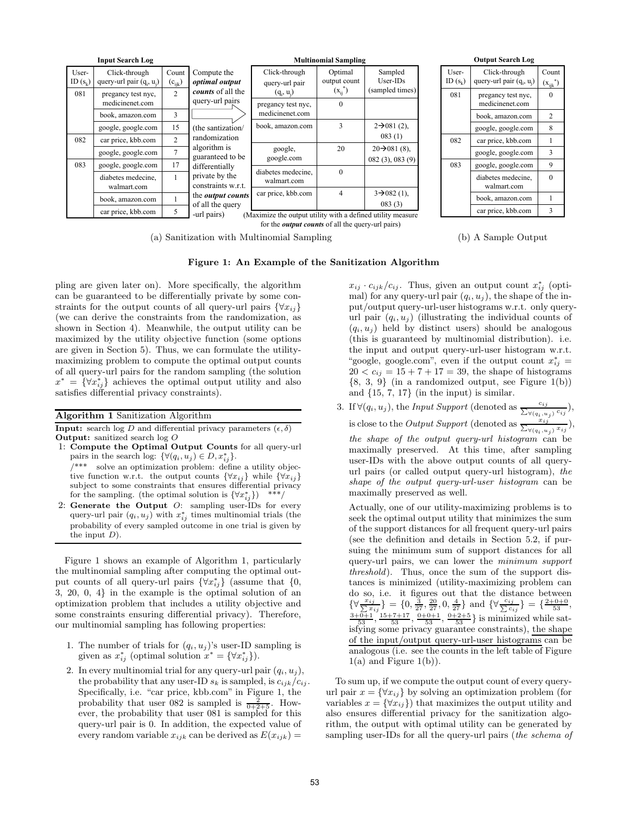|                     | <b>Input Search Log</b>                      |                      |                                                             |                                    | <b>Multinomial Sampling</b>   |                                             |  |
|---------------------|----------------------------------------------|----------------------|-------------------------------------------------------------|------------------------------------|-------------------------------|---------------------------------------------|--|
| User-<br>ID $(s_k)$ | Click-through<br>query-url pair $(q_i, u_i)$ | Count<br>$(c_{ijk})$ | Compute the<br>optimal output                               | Click-through<br>query-url pair    | Optimal<br>output count       | Sampled<br>$User-IDs$                       |  |
| 081                 | pregancy test nyc,<br>medicinenet.com        | $\mathfrak{D}$       | <i>counts</i> of all the<br>query-url pairs                 | $(q_i, u_i)$<br>pregancy test nyc, | $(x_{ii}^{\ast})$<br>$\Omega$ | (sampled times)                             |  |
|                     | book, amazon.com                             | 3                    |                                                             | medicinenet.com                    |                               |                                             |  |
|                     | google, google.com                           | 15                   | (the santization/                                           | book, amazon.com                   | 3                             | $2 \rightarrow 081(2)$ ,                    |  |
| 082                 | car price, kbb.com                           | $\overline{2}$       | randomization                                               |                                    |                               | 083(1)                                      |  |
|                     | google, google.com                           | 7                    | algorithm is<br>guaranteed to be                            | google,<br>google.com              | 20                            | $20 \rightarrow 081(8)$ ,<br>082(3), 083(9) |  |
| 083                 | google, google.com                           | 17                   | differentially                                              |                                    |                               |                                             |  |
|                     | diabetes medecine.<br>walmart.com            | 1                    | private by the<br>constraints w.r.t.                        | diabetes medecine.<br>walmart.com  | $\Omega$                      |                                             |  |
|                     |                                              |                      | the <i>output counts</i>                                    | car price, kbb.com                 | 4                             | $3\rightarrow 082(1)$ ,                     |  |
|                     | book, amazon.com                             | 5                    | of all the query                                            |                                    |                               | 083(3)                                      |  |
|                     | car price, kbb.com                           | -url pairs)          | (Maximize the output utility with a defined utility measure |                                    |                               |                                             |  |

for the *output counts* of all the query-url pairs)

(a) Sanitization with Multinomial Sampling



(b) A Sample Output

### Figure 1: An Example of the Sanitization Algorithm

pling are given later on). More specifically, the algorithm can be guaranteed to be differentially private by some constraints for the output counts of all query-url pairs  $\{\forall x_{ij}\}\$ (we can derive the constraints from the randomization, as shown in Section 4). Meanwhile, the output utility can be maximized by the utility objective function (some options are given in Section 5). Thus, we can formulate the utilitymaximizing problem to compute the optimal output counts of all query-url pairs for the random sampling (the solution  $x^* = \{ \forall x^*_{ij} \}$  achieves the optimal output utility and also satisfies differential privacy constraints).

#### Algorithm 1 Sanitization Algorithm

**Input:** search log D and differential privacy parameters  $(\epsilon, \delta)$ Output: sanitized search log O

1: Compute the Optimal Output Counts for all query-url pairs in the search log:  $\{\forall (q_i, u_j) \in D, x_{ij}^*\}.$ 

\*\*\* solve an optimization problem: define a utility objective function w.r.t. the output counts  $\{\forall x_{ij}\}$  while  $\{\forall x_{ij}\}$ subject to some constraints that ensures differential privacy for the sampling. (the optimal solution is  $\{\forall x^*_{ij}\}\$  \*\*\*/

2: Generate the Output  $O$ : sampling user-IDs for every query-url pair  $(q_i, u_j)$  with  $x_{ij}^*$  times multinomial trials (the probability of every sampled outcome in one trial is given by the input  $D$ ).

Figure 1 shows an example of Algorithm 1, particularly the multinomial sampling after computing the optimal output counts of all query-url pairs  $\{\forall x^*_{ij}\}$  (assume that  $\{0,$ 3, 20, 0, 4} in the example is the optimal solution of an optimization problem that includes a utility objective and some constraints ensuring differential privacy). Therefore, our multinomial sampling has following properties:

- 1. The number of trials for  $(q_i, u_j)$ 's user-ID sampling is given as  $x_{ij}^*$  (optimal solution  $x^* = {\forall x_{ij}^*}$ ).
- 2. In every multinomial trial for any query-url pair  $(q_i, u_j)$ , the probability that any user-ID  $s_k$  is sampled, is  $c_{ijk}/c_{ij}$ . Specifically, i.e. "car price, kbb.com" in Figure 1, the probability that user 082 is sampled is  $\frac{2}{0+2+5}$ . However, the probability that user 081 is sampled for this query-url pair is 0. In addition, the expected value of every random variable  $x_{ijk}$  can be derived as  $E(x_{ijk}) =$

 $x_{ij} \cdot c_{ijk}/c_{ij}$ . Thus, given an output count  $x_{ij}^*$  (optimal) for any query-url pair  $(q_i, u_j)$ , the shape of the input/output query-url-user histograms w.r.t. only queryurl pair  $(q_i, u_j)$  (illustrating the individual counts of  $(q_i, u_j)$  held by distinct users) should be analogous (this is guaranteed by multinomial distribution). i.e. the input and output query-url-user histogram w.r.t. "google, google.com", even if the output count  $x_{ij}^* =$  $20 < c_{ij} = 15 + 7 + 17 = 39$ , the shape of histograms  $\{8, 3, 9\}$  (in a randomized output, see Figure 1(b)) and  $\{15, 7, 17\}$  (in the input) is similar.

3. If  $\forall (q_i, u_j)$ , the Input Support (denoted as  $\frac{c_{ij}}{\sum_{\forall (q_i, u_j)}}$  $\frac{c_{ij}}{\forall (q_i, u_j)} c_{ij},$ is close to the *Output Support* (denoted as  $\frac{x_{ij}}{\sum_{\forall (a, y)}}$  $\frac{x_{ij}}{\forall (q_i, u_j)} \frac{x_{ij}}{x_{ij}}$ the shape of the output query-url histogram can be maximally preserved. At this time, after sampling user-IDs with the above output counts of all queryurl pairs (or called output query-url histogram), the

shape of the output query-url-user histogram can be

maximally preserved as well.

Actually, one of our utility-maximizing problems is to seek the optimal output utility that minimizes the sum of the support distances for all frequent query-url pairs (see the definition and details in Section 5.2, if pursuing the minimum sum of support distances for all query-url pairs, we can lower the minimum support threshold). Thus, once the sum of the support distances is minimized (utility-maximizing problem can do so, i.e. it figures out that the distance between  $\{\forall \frac{x_{ij}}{\sum x_i}$  $\{\frac{ij}{x_{ij}}\} = \{0, \frac{3}{27}, \frac{20}{27}, 0, \frac{4}{27}\}$  and  $\{\forall \frac{c_{ij}}{\sum c_i}$  $\{\forall \frac{x_{ij}}{\sum x_{ij}}\} = \{0, \frac{3}{27}, \frac{20}{27}, 0, \frac{4}{27}\}$  and  $\{\forall \frac{c_{ij}}{\sum c_{ij}}\} = \{\frac{2+0+0}{53}, \frac{3+0+1}{53}, \frac{15+7+17}{53}, \frac{0+0+1}{53}, \frac{0+2+5}{53}\}$  is minimized while satisfying some privacy guarantee constraints), the shape of the input/output query-url-user histograms can be analogous (i.e. see the counts in the left table of Figure  $1(a)$  and Figure  $1(b)$ ).

To sum up, if we compute the output count of every queryurl pair  $x = \{\forall x_{ij}\}\$ by solving an optimization problem (for variables  $x = \{\forall x_{ij}\}\$  that maximizes the output utility and also ensures differential privacy for the sanitization algorithm, the output with optimal utility can be generated by sampling user-IDs for all the query-url pairs (the schema of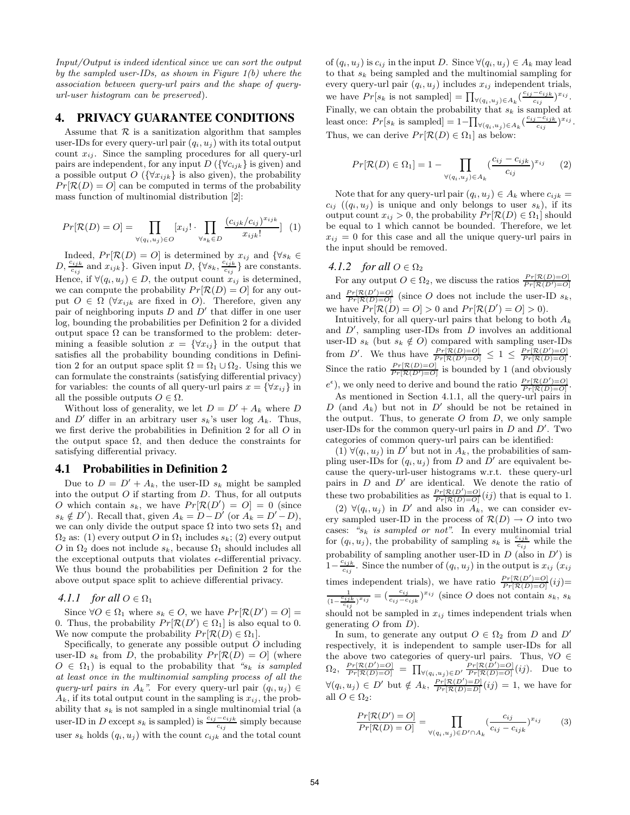Input/Output is indeed identical since we can sort the output by the sampled user-IDs, as shown in Figure 1(b) where the association between query-url pairs and the shape of queryurl-user histogram can be preserved).

# **4. PRIVACY GUARANTEE CONDITIONS**

Assume that  $\mathcal R$  is a sanitization algorithm that samples user-IDs for every query-url pair  $(q_i, u_j)$  with its total output count  $x_{ij}$ . Since the sampling procedures for all query-url pairs are independent, for any input  $D(\{\forall c_{ijk}\})$  is given) and a possible output  $O\left(\{\forall x_{ijk}\}\right)$  is also given), the probability  $Pr[\mathcal{R}(D) = O]$  can be computed in terms of the probability mass function of multinomial distribution [2]:

$$
Pr[\mathcal{R}(D) = O] = \prod_{\forall (q_i, u_j) \in O} [x_{ij}] \cdot \prod_{\forall s_k \in D} \frac{(c_{ijk}/c_{ij})^{x_{ijk}}}{x_{ijk}!} \tag{1}
$$

Indeed,  $Pr[\mathcal{R}(D) = O]$  is determined by  $x_{ij}$  and  $\{\forall s_k \in D, \frac{c_{ijk}}{c_{ij}}\}$  and  $x_{ijk}\}$ . Given input D,  $\{\forall s_k, \frac{c_{ijk}}{c_{ij}}\}$  are constants.  $\frac{z_{ijk}}{c_{ij}}$  are constants. Hence, if  $\forall (q_i, u_j) \in D$ , the output count  $x_{ij}$  is determined, we can compute the probability  $Pr[\mathcal{R}(D) = O]$  for any output  $O \in \Omega$  ( $\forall x_{ijk}$  are fixed in O). Therefore, given any pair of neighboring inputs D and  $\dot{D}'$  that differ in one user log, bounding the probabilities per Definition 2 for a divided output space  $\Omega$  can be transformed to the problem: determining a feasible solution  $x = \{\forall x_{ij}\}\$ in the output that satisfies all the probability bounding conditions in Definition 2 for an output space split  $\Omega = \Omega_1 \cup \Omega_2$ . Using this we can formulate the constraints (satisfying differential privacy) for variables: the counts of all query-url pairs  $x = \{\forall x_{ij}\}\$ in all the possible outputs  $O \in \Omega$ .

Without loss of generality, we let  $D = D' + A_k$  where D and  $D'$  differ in an arbitrary user  $s_k$ 's user log  $A_k$ . Thus, we first derive the probabilities in Definition 2 for all O in the output space  $\Omega$ , and then deduce the constraints for satisfying differential privacy.

### **4.1 Probabilities in Definition 2**

Due to  $D = D' + A_k$ , the user-ID  $s_k$  might be sampled into the output  $O$  if starting from  $D$ . Thus, for all outputs O which contain  $s_k$ , we have  $Pr[\mathcal{R}(D')]=O]=O$  (since  $s_k \notin D'$ ). Recall that, given  $A_k = D - D'$  (or  $A_k = D' - D$ ), we can only divide the output space  $\Omega$  into two sets  $\Omega_1$  and  $\Omega_2$  as: (1) every output O in  $\Omega_1$  includes  $s_k$ ; (2) every output O in  $\Omega_2$  does not include  $s_k$ , because  $\Omega_1$  should includes all the exceptional outputs that violates  $\epsilon$ -differential privacy. We thus bound the probabilities per Definition 2 for the above output space split to achieve differential privacy.

### *4.1.1 for all*  $O \in \Omega_1$

Since  $\forall O \in \Omega_1$  where  $s_k \in O$ , we have  $Pr[\mathcal{R}(D') = O] =$ 0. Thus, the probability  $Pr[\mathcal{R}(D') \in \Omega_1]$  is also equal to 0. We now compute the probability  $Pr[\mathcal{R}(D) \in \Omega_1].$ 

Specifically, to generate any possible output  $O$  including user-ID  $s_k$  from D, the probability  $Pr[\mathcal{R}(D) = O]$  (where  $O \in \Omega_1$ ) is equal to the probability that " $s_k$  is sampled at least once in the multinomial sampling process of all the query-url pairs in  $A_k$ ". For every query-url pair  $(q_i, u_j) \in$  $A_k$ , if its total output count in the sampling is  $x_{ij}$ , the probability that  $s_k$  is not sampled in a single multinomial trial (a user-ID in D except  $s_k$  is sampled) is  $\frac{c_{ij}-c_{ijk}}{c_{ij}}$  simply because user  $s_k$  holds  $(q_i, u_j)$  with the count  $c_{ijk}$  and the total count

of  $(q_i, u_j)$  is  $c_{ij}$  in the input D. Since  $\forall (q_i, u_j) \in A_k$  may lead to that  $s_k$  being sampled and the multinomial sampling for every query-url pair  $(q_i, u_j)$  includes  $x_{ij}$  independent trials, we have  $Pr[s_k \text{ is not sampled}] = \prod_{\forall (q_i, u_j) \in A_k} \left( \frac{c_{ij} - c_{ijk}}{c_{ij}} \right)$  $\frac{-c_{ijk}}{c_{ij}}$ <sup> $x_{ij}$ </sup>. Finally, we can obtain the probability that  $s_k$  is sampled at least once:  $Pr[s_k \text{ is sampled}] = 1 - \prod_{\forall (q_i, u_j) \in A_k} \left( \frac{c_{ij} - c_{ijk}}{c_{ij}} \right)$  $\frac{-c_{ijk}}{c_{ij}}$ <sup>xij</sup>. Thus, we can derive  $Pr[\mathcal{R}(D) \in \Omega_1]$  as below:

$$
Pr[\mathcal{R}(D) \in \Omega_1] = 1 - \prod_{\forall (q_i, u_j) \in A_k} \left(\frac{c_{ij} - c_{ijk}}{c_{ij}}\right)^{x_{ij}} \tag{2}
$$

Note that for any query-url pair  $(q_i, u_j) \in A_k$  where  $c_{ijk} =$  $c_{ij}$  (( $q_i, u_j$ ) is unique and only belongs to user  $s_k$ ), if its output count  $x_{ij} > 0$ , the probability  $Pr[\mathcal{R}(D) \in \Omega_1]$  should be equal to 1 which cannot be bounded. Therefore, we let  $x_{ij} = 0$  for this case and all the unique query-url pairs in the input should be removed.

### *4.1.2 for all*  $O \in \Omega_2$

For any output  $O \in \Omega_2$ , we discuss the ratios  $\frac{Pr[\mathcal{R}(D)=O]}{Pr[\mathcal{R}(D')=O]}$ and  $\frac{Pr[\mathcal{R}(D')=O]}{Pr[\mathcal{R}(D)=O]}$  (since O does not include the user-ID  $s_k$ , we have  $Pr[\mathcal{R}(D) = O] > 0$  and  $Pr[\mathcal{R}(D') = O] > 0$ .

Intuitively, for all query-url pairs that belong to both  $A_k$ and  $D'$ , sampling user-IDs from  $D$  involves an additional user-ID  $s_k$  (but  $s_k \notin O$ ) compared with sampling user-IDs from D'. We thus have  $\frac{Pr[R(D)=O]}{Pr[R(D')=O]} \leq 1 \leq \frac{Pr[R(D')=O]}{Pr[R(D)=O]}$ . Since the ratio  $\frac{Pr[\mathcal{R}(D)=O]}{Pr[\mathcal{R}(D')=O]}$  is bounded by 1 (and obviously  $e^{\epsilon}$ ), we only need to derive and bound the ratio  $\frac{Pr[R(D')=O]}{Pr[R(D)=O]}$ .

As mentioned in Section 4.1.1, all the query-url pairs in D (and  $A_k$ ) but not in D' should be not be retained in the output. Thus, to generate  $O$  from  $D$ , we only sample user-IDs for the common query-url pairs in  $D$  and  $D'$ . Two categories of common query-url pairs can be identified:

 $(1) √(q<sub>i</sub>, u<sub>j</sub>)$  in D' but not in  $A<sub>k</sub>$ , the probabilities of sampling user-IDs for  $(q_i, u_j)$  from D and D' are equivalent because the query-url-user histograms w.r.t. these query-url pairs in  $D$  and  $D'$  are identical. We denote the ratio of these two probabilities as  $\frac{Pr[R(D')=O]}{Pr[R(D)=O]}(ij)$  that is equal to 1.

(2)  $\forall (q_i, u_j)$  in D' and also in  $A_k$ , we can consider every sampled user-ID in the process of  $\mathcal{R}(D) \to O$  into two cases: " $s_k$  is sampled or not". In every multinomial trial for  $(q_i, u_j)$ , the probability of sampling  $s_k$  is  $\frac{c_{ijk}}{c_{ij}}$  while the probability of sampling another user-ID in  $D$  (also in  $D'$ ) is  $1-\frac{c_{ijk}}{c_{ij}}$  $\frac{c_{ijk}}{c_{ij}}$ . Since the number of  $(q_i, u_j)$  in the output is  $x_{ij}$   $(x_{ij})$ times independent trials), we have ratio  $\frac{Pr[\mathcal{R}(D')=O]}{Pr[\mathcal{R}(D)=O]}(ij)$ 1  $\frac{c_{ijk}}{(1-\frac{c_{ijk}}{c_{ij}})^{x_{ij}}}$  =  $(\frac{c_{ij}}{c_{ij}-c_{ijk}})^{x_{ij}}$  (since *O* does not contain s<sub>k</sub>, s<sub>k</sub> should not be sampled in  $x_{ij}$  times independent trials when generating  $O$  from  $D$ ).

In sum, to generate any output  $O \in \Omega_2$  from D and D' respectively, it is independent to sample user-IDs for all the above two categories of query-url pairs. Thus,  $\forall O \in$  $\Omega_2, \ \frac{Pr[\mathcal{R}(D')=O]}{Pr[\mathcal{R}(D)=O]} = \prod_{\forall (q_i,u_j) \in D'} \frac{Pr[\mathcal{R}(D')=O]}{Pr[\mathcal{R}(D)=O]}(ij).$  Due to  $\forall (q_i, u_j) \in D'$  but  $\notin A_k$ ,  $\frac{Pr[\mathcal{R}(D')=D]}{Pr[\mathcal{R}(D)=D]}(ij) = 1$ , we have for all  $O \in \Omega_2$ :

$$
\frac{Pr[\mathcal{R}(D')=O]}{Pr[\mathcal{R}(D)=O]} = \prod_{\forall (q_i, u_j) \in D' \cap A_k} \left(\frac{c_{ij}}{c_{ij} - c_{ijk}}\right)^{x_{ij}} \tag{3}
$$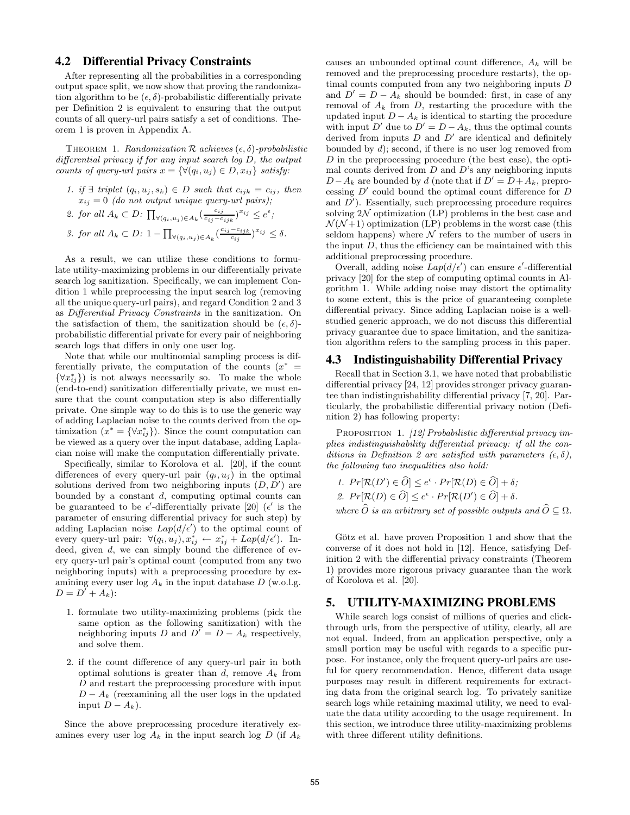### **4.2 Differential Privacy Constraints**

After representing all the probabilities in a corresponding output space split, we now show that proving the randomization algorithm to be  $(\epsilon, \delta)$ -probabilistic differentially private per Definition 2 is equivalent to ensuring that the output counts of all query-url pairs satisfy a set of conditions. Theorem 1 is proven in Appendix A.

THEOREM 1. Randomization  $\mathcal R$  achieves  $(\epsilon, \delta)$ -probabilistic differential privacy if for any input search log D, the output counts of query-url pairs  $x = \{ \forall (q_i, u_j) \in D, x_{ij} \}$  satisfy:

1. if  $\exists$  triplet  $(q_i, u_j, s_k) \in D$  such that  $c_{ijk} = c_{ij}$ , then  $x_{ij} = 0$  (do not output unique query-url pairs);

\n- 2. for all 
$$
A_k \subset D
$$
:  $\prod_{\forall (q_i, u_j) \in A_k} \left( \frac{c_{ij}}{c_{ij} - c_{ijk}} \right)^{x_{ij}} \leq e^{\epsilon}$ ;
\n- 3. for all  $A_k \subset D$ :  $1 - \prod_{\forall (q_i, u_j) \in A_k} \left( \frac{c_{ij} - c_{ijk}}{c_{ij}} \right)^{x_{ij}} \leq \delta$ .
\n

As a result, we can utilize these conditions to formulate utility-maximizing problems in our differentially private search log sanitization. Specifically, we can implement Condition 1 while preprocessing the input search log (removing all the unique query-url pairs), and regard Condition 2 and 3 as Differential Privacy Constraints in the sanitization. On the satisfaction of them, the sanitization should be  $(\epsilon, \delta)$ probabilistic differential private for every pair of neighboring search logs that differs in only one user log.

Note that while our multinomial sampling process is differentially private, the computation of the counts  $(x^*)$  $\{\forall x^*_{ij}\}\)$  is not always necessarily so. To make the whole (end-to-end) sanitization differentially private, we must ensure that the count computation step is also differentially private. One simple way to do this is to use the generic way of adding Laplacian noise to the counts derived from the optimization  $(x^* = \{\forall x^*_{ij}\})$ . Since the count computation can be viewed as a query over the input database, adding Laplacian noise will make the computation differentially private.

Specifically, similar to Korolova et al. [20], if the count differences of every query-url pair  $(q_i, u_j)$  in the optimal solutions derived from two neighboring inputs  $(D, D')$  are bounded by a constant  $d$ , computing optimal counts can be guaranteed to be  $\epsilon'$ -differentially private [20] ( $\epsilon'$  is the parameter of ensuring differential privacy for such step) by adding Laplacian noise  $Lap(d/\epsilon')$  to the optimal count of every query-url pair:  $\forall (q_i, u_j), x^*_{ij} \leftarrow x^*_{ij} + Lap(d/\epsilon').$  Indeed, given d, we can simply bound the difference of every query-url pair's optimal count (computed from any two neighboring inputs) with a preprocessing procedure by examining every user  $log A_k$  in the input database  $D$  (w.o.l.g.  $D = D^{'} + A_k$ :

- 1. formulate two utility-maximizing problems (pick the same option as the following sanitization) with the neighboring inputs D and  $D^{\dagger} = D - A_k$  respectively, and solve them.
- 2. if the count difference of any query-url pair in both optimal solutions is greater than  $d$ , remove  $A_k$  from D and restart the preprocessing procedure with input  $D - A_k$  (reexamining all the user logs in the updated input  $D - A_k$ ).

Since the above preprocessing procedure iteratively examines every user log  $A_k$  in the input search log D (if  $A_k$ )

causes an unbounded optimal count difference,  $A_k$  will be removed and the preprocessing procedure restarts), the optimal counts computed from any two neighboring inputs D and  $D' = D - A_k$  should be bounded: first, in case of any removal of  $A_k$  from  $D$ , restarting the procedure with the updated input  $D - A_k$  is identical to starting the procedure with input D' due to  $D' = D - A_k$ , thus the optimal counts derived from inputs  $D$  and  $D'$  are identical and definitely bounded by  $d$ ); second, if there is no user log removed from D in the preprocessing procedure (the best case), the optimal counts derived from  $D$  and  $D$ 's any neighboring inputs  $D-A_k$  are bounded by d (note that if  $D' = D+A_k$ , preprocessing  $D'$  could bound the optimal count difference for  $D$ and  $D'$ ). Essentially, such preprocessing procedure requires solving  $2\mathcal{N}$  optimization (LP) problems in the best case and  $\mathcal{N}(\mathcal{N}+1)$  optimization (LP) problems in the worst case (this seldom happens) where  ${\cal N}$  refers to the number of users in the input  $D$ , thus the efficiency can be maintained with this additional preprocessing procedure.

Overall, adding noise  $Lap(d/\epsilon')$  can ensure  $\epsilon'$ -differential privacy [20] for the step of computing optimal counts in Algorithm 1. While adding noise may distort the optimality to some extent, this is the price of guaranteeing complete differential privacy. Since adding Laplacian noise is a wellstudied generic approach, we do not discuss this differential privacy guarantee due to space limitation, and the sanitization algorithm refers to the sampling process in this paper.

# **4.3 Indistinguishability Differential Privacy**

Recall that in Section 3.1, we have noted that probabilistic differential privacy [24, 12] provides stronger privacy guarantee than indistinguishability differential privacy [7, 20]. Particularly, the probabilistic differential privacy notion (Definition 2) has following property:

PROPOSITION 1. [12] Probabilistic differential privacy implies indistinguishability differential privacy: if all the conditions in Definition 2 are satisfied with parameters  $(\epsilon, \delta)$ , the following two inequalities also hold:

1. 
$$
Pr[\mathcal{R}(D') \in \widehat{O}] \leq e^{\epsilon} \cdot Pr[\mathcal{R}(D) \in \widehat{O}] + \delta;
$$
  
2.  $Pr[\mathcal{R}(D) \in \widehat{O}] \leq e^{\epsilon} \cdot Pr[\mathcal{R}(D') \in \widehat{O}] + \delta.$   
where  $\widehat{O}$  is an arbitrary set of possible outputs and  $\widehat{O} \subseteq \Omega$ .

Götz et al. have proven Proposition 1 and show that the converse of it does not hold in [12]. Hence, satisfying Definition 2 with the differential privacy constraints (Theorem 1) provides more rigorous privacy guarantee than the work of Korolova et al. [20].

# **5. UTILITY-MAXIMIZING PROBLEMS**

While search logs consist of millions of queries and clickthrough urls, from the perspective of utility, clearly, all are not equal. Indeed, from an application perspective, only a small portion may be useful with regards to a specific purpose. For instance, only the frequent query-url pairs are useful for query recommendation. Hence, different data usage purposes may result in different requirements for extracting data from the original search log. To privately sanitize search logs while retaining maximal utility, we need to evaluate the data utility according to the usage requirement. In this section, we introduce three utility-maximizing problems with three different utility definitions.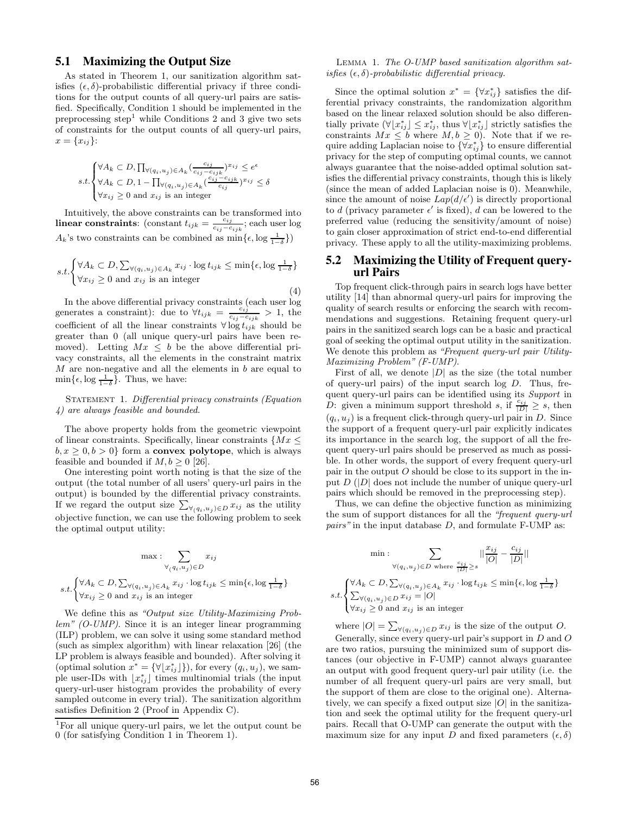# **5.1 Maximizing the Output Size**

As stated in Theorem 1, our sanitization algorithm satisfies  $(\epsilon, \delta)$ -probabilistic differential privacy if three conditions for the output counts of all query-url pairs are satisfied. Specifically, Condition 1 should be implemented in the preprocessing step<sup>1</sup> while Conditions 2 and 3 give two sets of constraints for the output counts of all query-url pairs,  $x = \{x_{ij}\}\.$ 

$$
s.t. \begin{cases} \forall A_k \subset D, \prod_{\forall (q_i, u_j) \in A_k} (\frac{c_{ij}}{c_{ij} - c_{ijk}})^{x_{ij}} \leq e^{\epsilon} \\ \forall A_k \subset D, 1 - \prod_{\forall (q_i, u_j) \in A_k} (\frac{c_{ij} - c_{ijk}}{c_{ij}})^{x_{ij}} \leq \delta \\ \forall x_{ij} \geq 0 \text{ and } x_{ij} \text{ is an integer} \end{cases}
$$

Intuitively, the above constraints can be transformed into linear constraints: (constant  $t_{ijk} = \frac{c_{ij}}{c_{ij}-c_{ij}}$  $\frac{c_{ij}}{c_{ij}-c_{ijk}}$ ; each user log  $A_k$ 's two constraints can be combined as  $\min\{\epsilon, \log \frac{1}{1-\delta}\}\$ 

$$
s.t. \begin{cases} \forall A_k \subset D, \sum_{\forall (q_i, u_j) \in A_k} x_{ij} \cdot \log t_{ijk} \le \min\{\epsilon, \log \frac{1}{1-\delta}\} \\ \forall x_{ij} \ge 0 \text{ and } x_{ij} \text{ is an integer} \end{cases}
$$
(4)

In the above differential privacy constraints (each user log generates a constraint): due to  $\forall t_{ijk} = \frac{c_{ij}}{c_{ij}-c_{ij}}$  $\frac{c_{ij}}{c_{ij}-c_{ijk}} > 1$ , the coefficient of all the linear constraints  $\forall \log t_{ijk}$  should be greater than 0 (all unique query-url pairs have been removed). Letting  $Mx \leq b$  be the above differential privacy constraints, all the elements in the constraint matrix  $M$  are non-negative and all the elements in  $b$  are equal to  $\min\{\epsilon, \log \frac{1}{1-\delta}\}.$  Thus, we have:

STATEMENT 1. Differential privacy constraints (Equation 4) are always feasible and bounded.

The above property holds from the geometric viewpoint of linear constraints. Specifically, linear constraints  $\{Mx \leq$  $b, x \geq 0, b \geq 0$  form a **convex polytope**, which is always feasible and bounded if  $M, b \geq 0$  [26].

One interesting point worth noting is that the size of the output (the total number of all users' query-url pairs in the output) is bounded by the differential privacy constraints. If we regard the output size  $\sum_{\forall (q_i, u_j) \in D} x_{ij}$  as the utility objective function, we can use the following problem to seek the optimal output utility:

$$
\max : \sum_{\forall (q_i, u_j) \in D} x_{ij}
$$

$$
s.t. \begin{cases} \forall A_k \subset D, \sum_{\forall (q_i, u_j) \in A_k} x_{ij} \cdot \log t_{ijk} \le \min\{\epsilon, \log \frac{1}{1-\delta}\} \\ \forall x_{ij} \ge 0 \text{ and } x_{ij} \text{ is an integer} \end{cases}
$$

We define this as "Output size Utility-Maximizing Problem" (O-UMP). Since it is an integer linear programming (ILP) problem, we can solve it using some standard method (such as simplex algorithm) with linear relaxation [26] (the LP problem is always feasible and bounded). After solving it (optimal solution  $x^* = \{ \forall \lfloor x^*_{ij} \rfloor \}$ ), for every  $(q_i, u_j)$ , we sample user-IDs with  $\lfloor x^*_{ij} \rfloor$  times multinomial trials (the input query-url-user histogram provides the probability of every sampled outcome in every trial). The sanitization algorithm satisfies Definition 2 (Proof in Appendix C).

Lemma 1. The O-UMP based sanitization algorithm satisfies  $(\epsilon, \delta)$ -probabilistic differential privacy.

Since the optimal solution  $x^* = \{ \forall x^*_{ij} \}$  satisfies the differential privacy constraints, the randomization algorithm based on the linear relaxed solution should be also differentially private  $(\forall \lfloor x_{ij}^* \rfloor \leq x_{ij}^*$ , thus  $\forall \lfloor x_{ij}^* \rfloor$  strictly satisfies the constraints  $Mx \leq b$  where  $M, b \geq 0$ . Note that if we require adding Laplacian noise to  $\{\forall x^*_{ij}\}$  to ensure differential privacy for the step of computing optimal counts, we cannot always guarantee that the noise-added optimal solution satisfies the differential privacy constraints, though this is likely (since the mean of added Laplacian noise is 0). Meanwhile, since the amount of noise  $Lap(d/\epsilon')$  is directly proportional to d (privacy parameter  $\epsilon'$  is fixed), d can be lowered to the preferred value (reducing the sensitivity/amount of noise) to gain closer approximation of strict end-to-end differential privacy. These apply to all the utility-maximizing problems.

# **5.2 Maximizing the Utility of Frequent queryurl Pairs**

Top frequent click-through pairs in search logs have better utility [14] than abnormal query-url pairs for improving the quality of search results or enforcing the search with recommendations and suggestions. Retaining frequent query-url pairs in the sanitized search logs can be a basic and practical goal of seeking the optimal output utility in the sanitization. We denote this problem as "Frequent query-url pair Utility-Maximizing Problem" (F-UMP).

First of all, we denote  $|D|$  as the size (the total number of query-url pairs) of the input search  $log\ D$ . Thus, frequent query-url pairs can be identified using its Support in D: given a minimum support threshold s, if  $\frac{c_{ij}}{|D|} \geq s$ , then  $(q_i, u_j)$  is a frequent click-through query-url pair in D. Since the support of a frequent query-url pair explicitly indicates its importance in the search log, the support of all the frequent query-url pairs should be preserved as much as possible. In other words, the support of every frequent query-url pair in the output  $O$  should be close to its support in the input  $D$  ( $|D|$  does not include the number of unique query-url pairs which should be removed in the preprocessing step).

Thus, we can define the objective function as minimizing the sum of support distances for all the "frequent query-url *pairs*" in the input database  $D$ , and formulate F-UMP as:

$$
\min : \sum_{\substack{\forall (q_i, u_j) \in D \text{ where } \frac{c_{ij}}{|D|} \ge s}} ||\frac{x_{ij}}{|O|} - \frac{c_{ij}}{|D|}||
$$
\n
$$
s.t. \begin{cases} \forall A_k \subset D, \sum_{\forall (q_i, u_j) \in A_k} x_{ij} \cdot \log t_{ijk} \le \min\{\epsilon, \log \frac{1}{1-\delta}\} \\ \sum_{\forall (q_i, u_j) \in D} x_{ij} = |O| \\ \forall x_{ij} \ge 0 \text{ and } x_{ij} \text{ is an integer} \end{cases}
$$

where  $|O| = \sum_{\forall (q_i, u_j) \in D} x_{ij}$  is the size of the output O.

Generally, since every query-url pair's support in D and O are two ratios, pursuing the minimized sum of support distances (our objective in F-UMP) cannot always guarantee an output with good frequent query-url pair utility (i.e. the number of all frequent query-url pairs are very small, but the support of them are close to the original one). Alternatively, we can specify a fixed output size  $|O|$  in the sanitization and seek the optimal utility for the frequent query-url pairs. Recall that O-UMP can generate the output with the maximum size for any input D and fixed parameters  $(\epsilon, \delta)$ 

<sup>1</sup>For all unique query-url pairs, we let the output count be 0 (for satisfying Condition 1 in Theorem 1).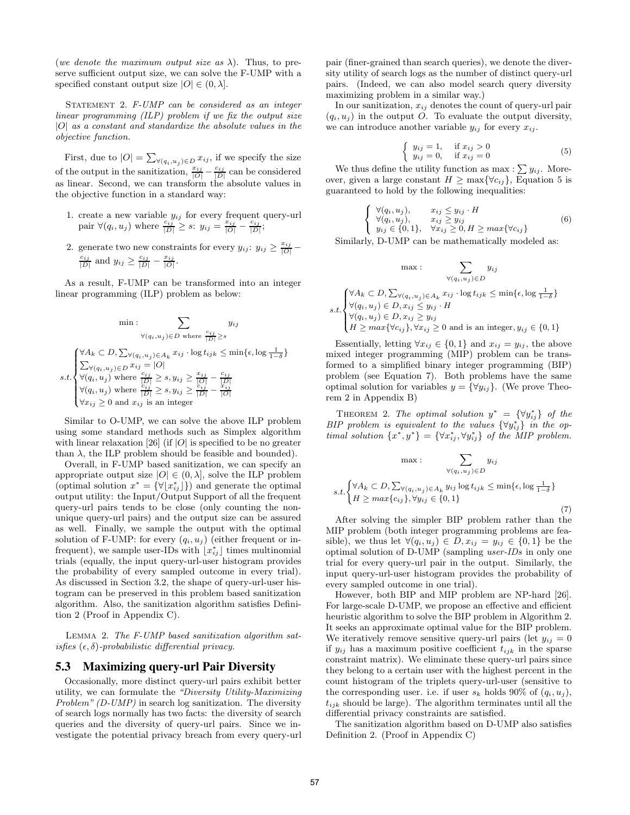(we denote the maximum output size as  $\lambda$ ). Thus, to preserve sufficient output size, we can solve the F-UMP with a specified constant output size  $|O| \in (0, \lambda]$ .

STATEMENT 2. F-UMP can be considered as an integer linear programming (ILP) problem if we fix the output size  $|O|$  as a constant and standardize the absolute values in the objective function.

First, due to  $|O| = \sum_{\forall (q_i, u_j) \in D} x_{ij}$ , if we specify the size of the output in the sanitization,  $\frac{x_{ij}}{|O|} - \frac{c_{ij}}{|D|}$  can be considered as linear. Second, we can transform the absolute values in the objective function in a standard way:

- 1. create a new variable  $y_{ij}$  for every frequent query-url pair  $\forall (q_i, u_j)$  where  $\frac{c_{ij}}{|D|} \geq s$ :  $y_{ij} = \frac{x_{ij}}{|O|} - \frac{c_{ij}}{|D|}$ ;
- 2. generate two new constraints for every  $y_{ij}$ :  $y_{ij} \ge \frac{x_{ij}}{|O|} \frac{c_{ij}}{|D|}$  and  $y_{ij} \ge \frac{c_{ij}}{|D|} - \frac{x_{ij}}{|O|}$ .

As a result, F-UMP can be transformed into an integer linear programming (ILP) problem as below:

$$
\min : \sum_{\forall (q_i, u_j) \in D \text{ where } \frac{c_{ij}}{|D|} \ge s} y_{ij}
$$
\n
$$
\forall (q_i, u_j) \in D \text{ where } \frac{c_{ij}}{|D|} \ge s
$$
\n
$$
\sum_{\forall (q_i, u_j) \in D} x_{ij} = |O|
$$
\n
$$
s.t. \begin{cases}\n\forall A_k \subset D, \sum_{\forall (q_i, u_j) \in A_k} x_{ij} \cdot \log t_{ijk} \le \min\{\epsilon, \log \frac{1}{1-\delta}\} \\
\forall (q_i, u_j) \text{ where } \frac{c_{ij}}{|D|} \ge s, y_{ij} \ge \frac{x_{ij}}{|D|} - \frac{c_{ij}}{|D|} \\
\forall x_{ij} \ge 0 \text{ and } x_{ij} \text{ is an integer}\n\end{cases}
$$

Similar to O-UMP, we can solve the above ILP problem using some standard methods such as Simplex algorithm with linear relaxation [26] (if  $|O|$  is specified to be no greater than  $\lambda$ , the ILP problem should be feasible and bounded).

Overall, in F-UMP based sanitization, we can specify an appropriate output size  $|O| \in (0, \lambda]$ , solve the ILP problem (optimal solution  $x^* = {\forall [x^*_{ij}]\}$ ) and generate the optimal output utility: the Input/Output Support of all the frequent query-url pairs tends to be close (only counting the nonunique query-url pairs) and the output size can be assured as well. Finally, we sample the output with the optimal solution of F-UMP: for every  $(q_i, u_j)$  (either frequent or infrequent), we sample user-IDs with  $\lfloor x^*_{ij} \rfloor$  times multinomial trials (equally, the input query-url-user histogram provides the probability of every sampled outcome in every trial). As discussed in Section 3.2, the shape of query-url-user histogram can be preserved in this problem based sanitization algorithm. Also, the sanitization algorithm satisfies Definition 2 (Proof in Appendix C).

Lemma 2. The F-UMP based sanitization algorithm satisfies  $(\epsilon, \delta)$ -probabilistic differential privacy.

### **5.3 Maximizing query-url Pair Diversity**

Occasionally, more distinct query-url pairs exhibit better utility, we can formulate the "Diversity Utility-Maximizing Problem" (D-UMP) in search log sanitization. The diversity of search logs normally has two facts: the diversity of search queries and the diversity of query-url pairs. Since we investigate the potential privacy breach from every query-url pair (finer-grained than search queries), we denote the diversity utility of search logs as the number of distinct query-url pairs. (Indeed, we can also model search query diversity maximizing problem in a similar way.)

In our sanitization,  $x_{ij}$  denotes the count of query-url pair  $(q_i, u_j)$  in the output O. To evaluate the output diversity, we can introduce another variable  $y_{ij}$  for every  $x_{ij}$ .

$$
\begin{cases}\ny_{ij} = 1, & \text{if } x_{ij} > 0 \\
y_{ij} = 0, & \text{if } x_{ij} = 0\n\end{cases}
$$
\n(5)

We thus define the utility function as max :  $\sum y_{ij}$ . Moreover, given a large constant  $H \ge \max\{\forall c_{ij}\}\$ , Equation 5 is guaranteed to hold by the following inequalities:

$$
\begin{cases}\n\forall (q_i, u_j), & x_{ij} \leq y_{ij} \cdot H \\
\forall (q_i, u_j), & x_{ij} \geq y_{ij} \\
y_{ij} \in \{0, 1\}, & \forall x_{ij} \geq 0, H \geq max\{\forall c_{ij}\}\n\end{cases}
$$
\n(6)

Similarly, D-UMP can be mathematically modeled as:

$$
\max : \sum_{\forall (q_i, u_j) \in D} y_{ij}
$$
  
\n
$$
s.t. \begin{cases} \forall A_k \subset D, \sum_{\forall (q_i, u_j) \in A_k} x_{ij} \cdot \log t_{ijk} \le \min\{\epsilon, \log \frac{1}{1-\delta}\} \\ \forall (q_i, u_j) \in D, x_{ij} \le y_{ij} \cdot H \\ \forall (q_i, u_j) \in D, x_{ij} \ge y_{ij} \\ H \ge \max\{\forall c_{ij}\}, \forall x_{ij} \ge 0 \text{ and is an integer}, y_{ij} \in \{0, 1\} \end{cases}
$$

Essentially, letting  $\forall x_{ij} \in \{0,1\}$  and  $x_{ij} = y_{ij}$ , the above mixed integer programming (MIP) problem can be transformed to a simplified binary integer programming (BIP) problem (see Equation 7). Both problems have the same optimal solution for variables  $y = \{\forall y_{ij}\}.$  (We prove Theorem 2 in Appendix B)

THEOREM 2. The optimal solution  $y^* = \{\forall y_{ij}^*\}$  of the BIP problem is equivalent to the values  $\{\forall y_{ij}^*\}$  in the optimal solution  $\{x^*, y^*\} = \{\forall x^*_{ij}, \forall y^*_{ij}\}$  of the MIP problem.

$$
\max : \sum_{\forall (q_i, u_j) \in D} y_{ij}
$$
  
s.t.
$$
\begin{cases} \forall A_k \subset D, \sum_{\forall (q_i, u_j) \in A_k} y_{ij} \log t_{ijk} \le \min\{\epsilon, \log \frac{1}{1-\delta} \} \\ H \ge \max\{c_{ij}\}, \forall y_{ij} \in \{0, 1\} \end{cases}
$$

(7)

}

After solving the simpler BIP problem rather than the MIP problem (both integer programming problems are feasible), we thus let  $\forall (q_i, u_j) \in D, x_{ij} = y_{ij} \in \{0, 1\}$  be the optimal solution of D-UMP (sampling user-IDs in only one trial for every query-url pair in the output. Similarly, the input query-url-user histogram provides the probability of every sampled outcome in one trial).

However, both BIP and MIP problem are NP-hard [26]. For large-scale D-UMP, we propose an effective and efficient heuristic algorithm to solve the BIP problem in Algorithm 2. It seeks an approximate optimal value for the BIP problem. We iteratively remove sensitive query-url pairs (let  $y_{ij} = 0$ if  $y_{ij}$  has a maximum positive coefficient  $t_{ijk}$  in the sparse constraint matrix). We eliminate these query-url pairs since they belong to a certain user with the highest percent in the count histogram of the triplets query-url-user (sensitive to the corresponding user. i.e. if user  $s_k$  holds 90% of  $(q_i, u_j)$ ,  $t_{ijk}$  should be large). The algorithm terminates until all the differential privacy constraints are satisfied.

The sanitization algorithm based on D-UMP also satisfies Definition 2. (Proof in Appendix C)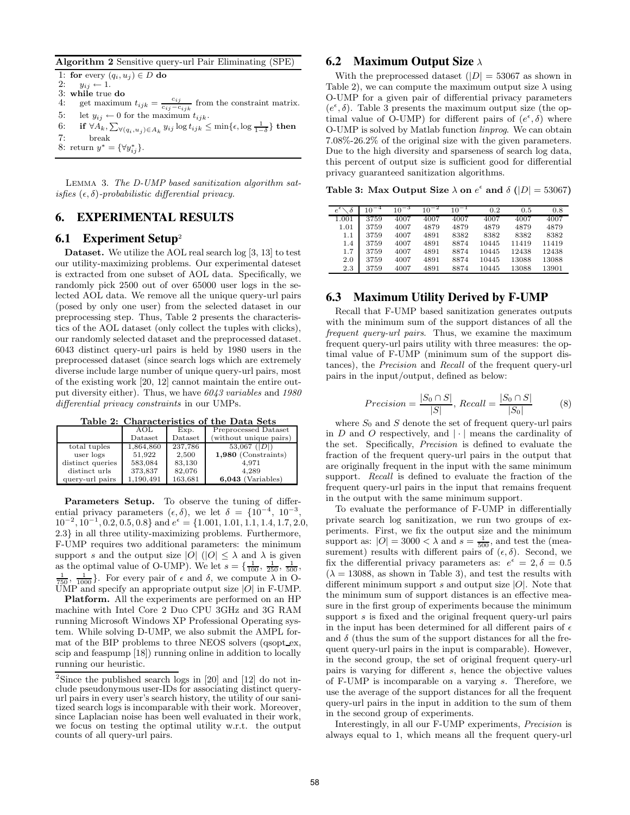Algorithm 2 Sensitive query-url Pair Eliminating (SPE)

1: for every  $(q_i, u_j) \in D$  do<br>2:  $y_{ii} \leftarrow 1$ .  $y_{ij} \leftarrow 1.$ 3: while true do 4: get maximum  $t_{ijk} = \frac{c_{ij}}{c_{ij} - c_{ijk}}$  from the constraint matrix. 5: let  $y_{ij} \leftarrow 0$  for the maximum  $t_{ijk}$ .  $6\colon \quad \text{ if } \forall A_k, \sum_{\forall (q_i, u_j) \in A_k} y_{ij} \log t_{ijk} \leq \min\{\epsilon, \log\frac{1}{1-\delta}\} \text{ then }$ 7: break 8: return  $y^* = {\forall y^*_{ij}}.$ 

Lemma 3. The D-UMP based sanitization algorithm satisfies  $(\epsilon, \delta)$ -probabilistic differential privacy.

# **6. EXPERIMENTAL RESULTS**

# **6.1 Experiment Setup**<sup>2</sup>

Dataset. We utilize the AOL real search log [3, 13] to test our utility-maximizing problems. Our experimental dateset is extracted from one subset of AOL data. Specifically, we randomly pick 2500 out of over 65000 user logs in the selected AOL data. We remove all the unique query-url pairs (posed by only one user) from the selected dataset in our preprocessing step. Thus, Table 2 presents the characteristics of the AOL dataset (only collect the tuples with clicks), our randomly selected dataset and the preprocessed dataset. 6043 distinct query-url pairs is held by 1980 users in the preprocessed dataset (since search logs which are extremely diverse include large number of unique query-url pairs, most of the existing work [20, 12] cannot maintain the entire output diversity either). Thus, we have 6043 variables and 1980 differential privacy constraints in our UMPs.

Table 2: Characteristics of the Data Sets

|                  | AOL       | Exp.    | Preprocessed Dataset   |
|------------------|-----------|---------|------------------------|
|                  | Dataset   | Dataset | (without unique pairs) |
| total tuples     | 1,864,860 | 237,786 | $53,067$ ( D )         |
| user logs        | 51.922    | 2,500   | $1,980$ (Constraints)  |
| distinct queries | 583,084   | 83,130  | 4.971                  |
| distinct urls    | 373,837   | 82.076  | 4.289                  |
| query-url pairs  | 1.190.491 | 163,681 | $6,043$ (Variables)    |

Parameters Setup. To observe the tuning of differential privacy parameters  $(\epsilon, \delta)$ , we let  $\delta = \{10^{-4}, 10^{-3}, \ldots \}$  $10^{-2}$ ,  $10^{-1}$ , 0.2, 0.5, 0.8} and  $e^{\epsilon} = \{1.001, 1.01, 1.1, 1.4, 1.7, 2.0,$ <sup>2</sup>.3} in all three utility-maximizing problems. Furthermore, F-UMP requires two additional parameters: the minimum support s and the output size  $|O|$  ( $|O| \leq \lambda$  and  $\lambda$  is given as the optimal value of O-UMP). We let  $s = \{\frac{1}{100}, \frac{1}{250}, \frac{1}{500}, \frac{1}{500}\}$  $\frac{1}{750}$ ,  $\frac{1}{1000}$ . For every pair of  $\epsilon$  and  $\delta$ , we compute  $\lambda$  in O- $\text{UMP}$  and specify an appropriate output size  $|O|$  in F-UMP.

Platform. All the experiments are performed on an HP machine with Intel Core 2 Duo CPU 3GHz and 3G RAM running Microsoft Windows XP Professional Operating system. While solving D-UMP, we also submit the AMPL format of the BIP problems to three NEOS solvers (qsopt\_ex, scip and feaspump [18]) running online in addition to locally running our heuristic.

# **6.2 Maximum Output Size** λ

With the preprocessed dataset  $(|D| = 53067$  as shown in Table 2), we can compute the maximum output size  $\lambda$  using O-UMP for a given pair of differential privacy parameters  $(e^{\epsilon}, \delta)$ . Table 3 presents the maximum output size (the optimal value of O-UMP) for different pairs of  $(e^{\epsilon}, \delta)$  where O-UMP is solved by Matlab function linprog. We can obtain 7.08%-26.2% of the original size with the given parameters. Due to the high diversity and sparseness of search log data, this percent of output size is sufficient good for differential privacy guaranteed sanitization algorithms.

Table 3: Max Output Size  $\lambda$  on  $e^{\epsilon}$  and  $\delta$  ( $|D| = 53067$ )

| $e^{\epsilon}\diagdown\delta$ | $10^{-4}$ | $10^{-3}$ | $10^{-2}$ | $10^{-1}$ | 0.2   | 0.5   | 0.8   |
|-------------------------------|-----------|-----------|-----------|-----------|-------|-------|-------|
| 1.001                         | 3759      | 4007      | 4007      | 4007      | 4007  | 4007  | 4007  |
| 1.01                          | 3759      | 4007      | 4879      | 4879      | 4879  | 4879  | 4879  |
| 1.1                           | 3759      | 4007      | 4891      | 8382      | 8382  | 8382  | 8382  |
| 1.4                           | 3759      | 4007      | 4891      | 8874      | 10445 | 11419 | 11419 |
| 1.7                           | 3759      | 4007      | 4891      | 8874      | 10445 | 12438 | 12438 |
| 2.0                           | 3759      | 4007      | 4891      | 8874      | 10445 | 13088 | 13088 |
| 2.3                           | 3759      | 4007      | 4891      | 8874      | 10445 | 13088 | 13901 |

# **6.3 Maximum Utility Derived by F-UMP**

Recall that F-UMP based sanitization generates outputs with the minimum sum of the support distances of all the frequent query-url pairs. Thus, we examine the maximum frequent query-url pairs utility with three measures: the optimal value of F-UMP (minimum sum of the support distances), the Precision and Recall of the frequent query-url pairs in the input/output, defined as below:

$$
Precision = \frac{|S_0 \cap S|}{|S|}, Recall = \frac{|S_0 \cap S|}{|S_0|}
$$
(8)

where  $S_0$  and S denote the set of frequent query-url pairs in  $D$  and  $O$  respectively, and  $|\cdot|$  means the cardinality of the set. Specifically, Precision is defined to evaluate the fraction of the frequent query-url pairs in the output that are originally frequent in the input with the same minimum support. Recall is defined to evaluate the fraction of the frequent query-url pairs in the input that remains frequent in the output with the same minimum support.

To evaluate the performance of F-UMP in differentially private search log sanitization, we run two groups of experiments. First, we fix the output size and the minimum support as:  $|O| = 3000 < \lambda$  and  $s = \frac{1}{500}$ , and test the (measurement) results with different pairs of  $(\epsilon, \delta)$ . Second, we fix the differential privacy parameters as:  $e^{\epsilon} = 2, \delta = 0.5$  $(\lambda = 13088$ , as shown in Table 3), and test the results with different minimum support s and output size  $|O|$ . Note that the minimum sum of support distances is an effective measure in the first group of experiments because the minimum support s is fixed and the original frequent query-url pairs in the input has been determined for all different pairs of  $\epsilon$ and  $\delta$  (thus the sum of the support distances for all the frequent query-url pairs in the input is comparable). However, in the second group, the set of original frequent query-url pairs is varying for different s, hence the objective values of F-UMP is incomparable on a varying s. Therefore, we use the average of the support distances for all the frequent query-url pairs in the input in addition to the sum of them in the second group of experiments.

Interestingly, in all our F-UMP experiments, Precision is always equal to 1, which means all the frequent query-url

<sup>&</sup>lt;sup>2</sup>Since the published search logs in  $[20]$  and  $[12]$  do not include pseudonymous user-IDs for associating distinct queryurl pairs in every user's search history, the utility of our sanitized search logs is incomparable with their work. Moreover, since Laplacian noise has been well evaluated in their work, we focus on testing the optimal utility w.r.t. the output counts of all query-url pairs.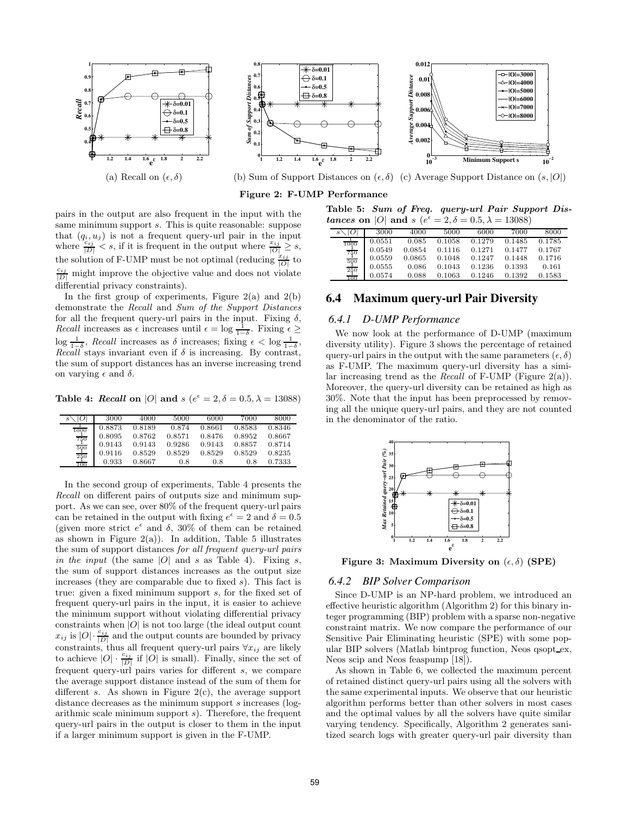

Figure 2: F-UMP Performance

pairs in the output are also frequent in the input with the same minimum support s. This is quite reasonable: suppose that  $(q_i, u_j)$  is not a frequent query-url pair in the input where  $\frac{\sum_{i,j}^{i} S_i}{|D|} < s$ , if it is frequent in the output where  $\frac{x_{ij}}{|D|} \geq s$ , the solution of F-UMP must be not optimal (reducing  $\frac{x_{ij}}{|O|}$  to  $\frac{c_{ij}}{|D|}$  might improve the objective value and does not violate differential privacy constraints).

In the first group of experiments, Figure  $2(a)$  and  $2(b)$ demonstrate the Recall and Sum of the Support Distances for all the frequent query-url pairs in the input. Fixing  $\delta$ , *Recall* increases as  $\epsilon$  increases until  $\epsilon = \log \frac{1}{1-\delta}$ . Fixing  $\epsilon \geq$  $\log \frac{1}{1-\delta}$ , Recall increases as  $\delta$  increases; fixing  $\epsilon < \log \frac{1}{1-\delta}$ , Recall stays invariant even if  $\delta$  is increasing. By contrast, the sum of support distances has an inverse increasing trend on varying  $\epsilon$  and  $\delta$ .

Table 4: Recall on |O| and  $s$  ( $e^{\epsilon} = 2, \delta = 0.5, \lambda = 13088$ )

| S                                   | 3000   | 4000   | 5000   | 6000   | 7000   | 8000   |
|-------------------------------------|--------|--------|--------|--------|--------|--------|
| 1000                                | 0.8873 | 0.8189 | 0.874  | 0.8661 | 0.8583 | 0.8346 |
|                                     | 0.8095 | 0.8762 | 0.8571 | 0.8476 | 0.8952 | 0.8667 |
|                                     | 0.9143 | 0.9143 | 0.9286 | 0.9143 | 0.8857 | 0.8714 |
|                                     | 0.9116 | 0.8529 | 0.8529 | 0.8529 | 0.8529 | 0.8235 |
| $\frac{750}{500}$ $\frac{500}{250}$ | 0.933  | 0.8667 | 0.8    | 0.8    | 0.8    | 0.7333 |

In the second group of experiments, Table 4 presents the Recall on different pairs of outputs size and minimum support. As we can see, over 80% of the frequent query-url pairs can be retained in the output with fixing  $e^{\epsilon} = 2$  and  $\delta = 0.5$ (given more strict  $e^{\epsilon}$  and  $\delta$ , 30% of them can be retained as shown in Figure  $2(a)$ ). In addition, Table 5 illustrates the sum of support distances for all frequent query-url pairs in the input (the same  $|O|$  and s as Table 4). Fixing s, the sum of support distances increases as the output size increases (they are comparable due to fixed  $s$ ). This fact is true: given a fixed minimum support s, for the fixed set of frequent query-url pairs in the input, it is easier to achieve the minimum support without violating differential privacy constraints when  $|O|$  is not too large (the ideal output count  $x_{ij}$  is  $|O|\cdot\frac{c_{ij}}{|D|}$  and the output counts are bounded by privacy constraints, thus all frequent query-url pairs  $\forall x_{ij}$  are likely to achieve  $|O| \cdot \frac{c_{ij}}{|D|}$  if  $|O|$  is small). Finally, since the set of frequent query-url pairs varies for different s, we compare the average support distance instead of the sum of them for different s. As shown in Figure  $2(c)$ , the average support distance decreases as the minimum support s increases (logarithmic scale minimum support s). Therefore, the frequent query-url pairs in the output is closer to them in the input if a larger minimum support is given in the F-UMP.

Table 5: Sum of Freq. query-url Pair Support Distances on |O| and s  $(e^{\epsilon} = 2, \delta = 0.5, \lambda = 13088)$ 

| $s\setminus O $                                                                                      | 3000   | 4000   | 5000   | 6000   | 7000   | 8000   |
|------------------------------------------------------------------------------------------------------|--------|--------|--------|--------|--------|--------|
|                                                                                                      | 0.0551 | 0.085  | 0.1058 | 0.1279 | 0.1485 | 0.1785 |
|                                                                                                      | 0.0549 | 0.0854 | 0.1116 | 0.1271 | 0.1477 | 0.1767 |
|                                                                                                      | 0.0559 | 0.0865 | 0.1048 | 0.1247 | 0.1448 | 0.1716 |
|                                                                                                      | 0.0555 | 0.086  | 0.1043 | 0.1236 | 0.1393 | 0.161  |
| $\begin{array}{r} \frac{1}{1000} \\ \frac{750}{500} \\ \frac{500}{250} \\ \frac{1}{100} \end{array}$ | 0.0574 | 0.088  | 0.1063 | 0.1246 | 0.1392 | 0.1583 |
|                                                                                                      |        |        |        |        |        |        |

### **6.4 Maximum query-url Pair Diversity**

# *6.4.1 D-UMP Performance*

We now look at the performance of D-UMP (maximum diversity utility). Figure 3 shows the percentage of retained query-url pairs in the output with the same parameters  $(\epsilon, \delta)$ as F-UMP. The maximum query-url diversity has a similar increasing trend as the *Recall* of F-UMP (Figure  $2(a)$ ). Moreover, the query-url diversity can be retained as high as 30%. Note that the input has been preprocessed by removing all the unique query-url pairs, and they are not counted in the denominator of the ratio.



Figure 3: Maximum Diversity on  $(\epsilon, \delta)$  (SPE)

### *6.4.2 BIP Solver Comparison*

Since D-UMP is an NP-hard problem, we introduced an effective heuristic algorithm (Algorithm 2) for this binary integer programming (BIP) problem with a sparse non-negative constraint matrix. We now compare the performance of our Sensitive Pair Eliminating heuristic (SPE) with some popular BIP solvers (Matlab bintprog function, Neos qsopt ex, Neos scip and Neos feaspump [18]).

As shown in Table 6, we collected the maximum percent of retained distinct query-url pairs using all the solvers with the same experimental inputs. We observe that our heuristic algorithm performs better than other solvers in most cases and the optimal values by all the solvers have quite similar varying tendency. Specifically, Algorithm 2 generates sanitized search logs with greater query-url pair diversity than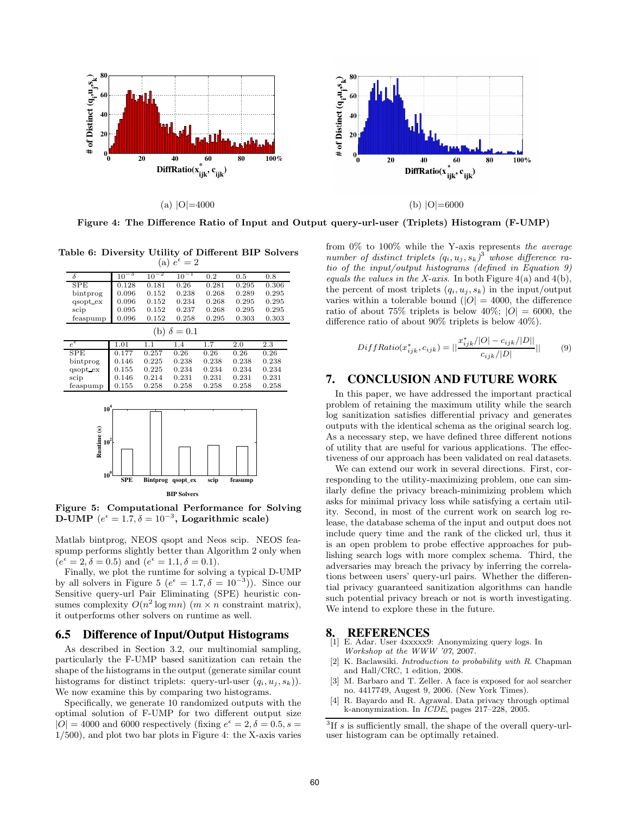

Figure 4: The Difference Ratio of Input and Output query-url-user (Triplets) Histogram (F-UMP)

Table 6: Diversity Utility of Different BIP Solvers (a)  $e^{\epsilon} = 2$ 

| $\delta$                  | $10^{-3}$  | $10^{-2}$       | $10^{-1}$          | 0.2   | 0.5     | 0.8   |
|---------------------------|------------|-----------------|--------------------|-------|---------|-------|
| SPE                       | 0.128      | 0.181           | 0.26               | 0.281 | 0.295   | 0.306 |
| bintprog                  | 0.096      | 0.152           | 0.238              | 0.268 | 0.289   | 0.295 |
| qsopt ex                  | 0.096      | 0.152           | 0.234              | 0.268 | 0.295   | 0.295 |
| scip                      | 0.095      | 0.152           | 0.237              | 0.268 | 0.295   | 0.295 |
| feaspump                  | 0.096      | 0.152           | 0.258              | 0.295 | 0.303   | 0.303 |
|                           |            |                 | (b) $\delta = 0.1$ |       |         |       |
| $e^{\epsilon}$            | 1.01       | 1.1             | 1.4                | 1.7   | 2.0     | 2.3   |
| <b>SPE</b>                | 0.177      | 0.257           | 0.26               | 0.26  | 0.26    | 0.26  |
| bintprog                  | 0.146      | 0.225           | 0.238              | 0.238 | 0.238   | 0.238 |
| qsopt ex                  | 0.155      | 0.225           | 0.234              | 0.234 | 0.234   | 0.234 |
| scip                      | 0.146      | 0.214           | 0.231              | 0.231 | 0.231   | 0.231 |
| feaspump                  | 0.155      | 0.258           | 0.258              | 0.258 | 0.258   | 0.258 |
| 10 <sup>4</sup><br>$10^2$ |            |                 |                    |       |         |       |
| Runtime (s)<br>$10^0$     | <b>SPE</b> | <b>Bintprog</b> | qsopt ex           | scip  | feasump |       |

**BIP Solvers**

Figure 5: Computational Performance for Solving D-UMP  $(e^{\epsilon} = 1.7, \delta = 10^{-3},$  Logarithmic scale)

Matlab bintprog, NEOS qsopt and Neos scip. NEOS feaspump performs slightly better than Algorithm 2 only when  $(e^{\epsilon} = 2, \delta = 0.5)$  and  $(e^{\epsilon} = 1.1, \delta = 0.1)$ .

Finally, we plot the runtime for solving a typical D-UMP by all solvers in Figure 5 ( $e^{\epsilon} = 1.7, \delta = 10^{-3}$ ). Since our Sensitive query-url Pair Eliminating (SPE) heuristic consumes complexity  $O(n^2 \log mn)$   $(m \times n)$  constraint matrix), it outperforms other solvers on runtime as well.

### **6.5 Difference of Input/Output Histograms**

As described in Section 3.2, our multinomial sampling, particularly the F-UMP based sanitization can retain the shape of the histograms in the output (generate similar count histograms for distinct triplets: query-url-user  $(q_i, u_j, s_k)$ . We now examine this by comparing two histograms.

Specifically, we generate 10 randomized outputs with the optimal solution of F-UMP for two different output size  $|O| = 4000$  and 6000 respectively (fixing  $e^{\epsilon} = 2, \delta = 0.5, s = 0$ 1/500), and plot two bar plots in Figure 4: the X-axis varies

from 0% to 100% while the Y-axis represents the average number of distinct triplets  $(q_i, u_j, s_k)^3$  whose difference ratio of the input/output histograms (defined in Equation 9) equals the values in the X-axis. In both Figure  $4(a)$  and  $4(b)$ , the percent of most triplets  $(q_i, u_j, s_k)$  in the input/output varies within a tolerable bound ( $|O| = 4000$ , the difference ratio of about 75% triplets is below 40%;  $|O| = 6000$ , the difference ratio of about 90% triplets is below 40%).

$$
DiffRatio(x_{ijk}^*, c_{ijk}) = ||\frac{x_{ijk}^*/|O| - c_{ijk}/|D||}{c_{ijk}/|D||}|| \tag{9}
$$

# **7. CONCLUSION AND FUTURE WORK**

In this paper, we have addressed the important practical problem of retaining the maximum utility while the search log sanitization satisfies differential privacy and generates outputs with the identical schema as the original search log. As a necessary step, we have defined three different notions of utility that are useful for various applications. The effectiveness of our approach has been validated on real datasets.

We can extend our work in several directions. First, corresponding to the utility-maximizing problem, one can similarly define the privacy breach-minimizing problem which asks for minimal privacy loss while satisfying a certain utility. Second, in most of the current work on search log release, the database schema of the input and output does not include query time and the rank of the clicked url, thus it is an open problem to probe effective approaches for publishing search logs with more complex schema. Third, the adversaries may breach the privacy by inferring the correlations between users' query-url pairs. Whether the differential privacy guaranteed sanitization algorithms can handle such potential privacy breach or not is worth investigating. We intend to explore these in the future.

### **8. REFERENCES**

- [1] E. Adar. User 4xxxxx9: Anonymizing query logs. In Workshop at the WWW '07, 2007.
- [2] K. Baclawsiki. *Introduction to probability with R*. Chapman and Hall/CRC, 1 edition, 2008.
- [3] M. Barbaro and T. Zeller. A face is exposed for aol searcher no. 4417749, Augest 9, 2006. (New York Times).
- [4] R. Bayardo and R. Agrawal. Data privacy through optimal k-anonymization. In ICDE, pages 217–228, 2005.

 ${}^{3}$ If s is sufficiently small, the shape of the overall query-urluser histogram can be optimally retained.